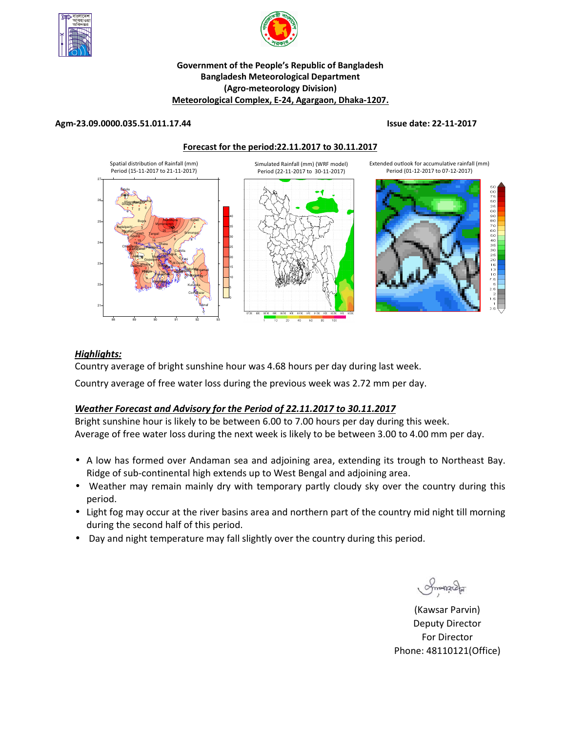



## **Government of the People's Republic of Bangladesh Bangladesh Meteorological Department (Agro-meteorology Division) Meteorological Complex, E-24, Agargaon, Dhaka-1207.**

#### **Agm-23.09.0000.035.51.011.17.44 Issue date: 22-11-2017**

#### **Forecast for the period:22.11.2017 to 30.11.2017**



### *Highlights:*

Country average of bright sunshine hour was 4.68 hours per day during last week.

Country average of free water loss during the previous week was 2.72 mm per day.

## *Weather Forecast and Advisory for the Period of 22.11.2017 to 30.11.2017*

Bright sunshine hour is likely to be between 6.00 to 7.00 hours per day during this week. Average of free water loss during the next week is likely to be between 3.00 to 4.00 mm per day.

- A low has formed over Andaman sea and adjoining area, extending its trough to Northeast Bay. Ridge of sub-continental high extends up to West Bengal and adjoining area.
- Weather may remain mainly dry with temporary partly cloudy sky over the country during this period.
- Light fog may occur at the river basins area and northern part of the country mid night till morning during the second half of this period.
- Day and night temperature may fall slightly over the country during this period.

Smanach

**N.B** (Kawsar Parvin) Deputy Director For Director Phone: 48110121(Office)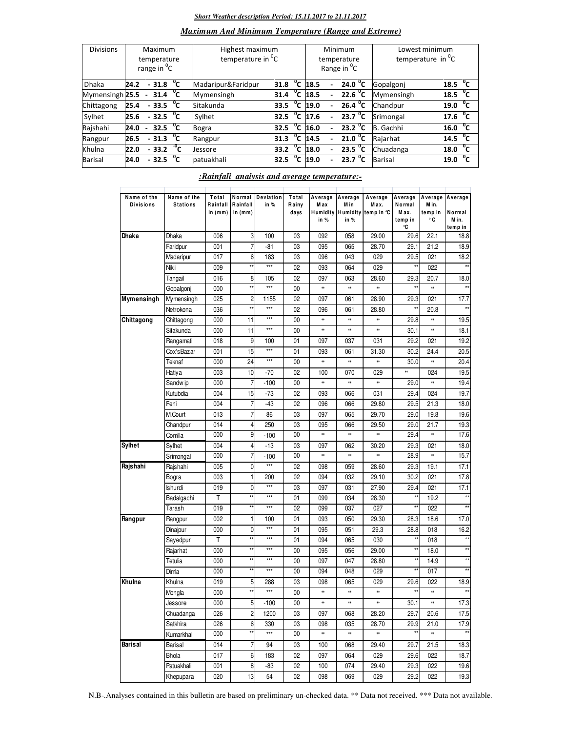#### *Short Weather description Period: 15.11.2017 to 21.11.2017*

## *Maximum And Minimum Temperature (Range and Extreme)*

| <b>Divisions</b>           | Maximum<br>temperature<br>range in <sup>o</sup> C |        |                                  |  | Highest maximum<br>temperature in <sup>o</sup> C |                  |                |                     |                          | Minimum<br>temperature<br>Range in <sup>o</sup> C | Lowest minimum<br>temperature in $^{\circ}$ C |                     |  |
|----------------------------|---------------------------------------------------|--------|----------------------------------|--|--------------------------------------------------|------------------|----------------|---------------------|--------------------------|---------------------------------------------------|-----------------------------------------------|---------------------|--|
| <b>Dhaka</b>               | 24.2                                              |        | $-31.8\degree$ C                 |  | Madaripur&Faridpur                               | 31.8             |                | $\overline{C}$ 18.5 |                          | 24.0 $^{\circ}$ C                                 | Gopalgoni                                     | 18.5 $\degree$ C    |  |
| Mymensingh <sub>25.5</sub> |                                                   |        | $-31.4$ <sup>o</sup> C           |  | Mymensingh                                       | 31.4             | $^{\circ}$ c   | 18.5                |                          | 22.6 $^{\circ}$ C                                 | Mymensingh                                    | 18.5 $\sqrt[6]{C}$  |  |
| Chittagong                 | 25.4                                              |        | $-33.5\degree$ C                 |  | Sitakunda                                        | 33.5             | $^{\circ}$ c   | 19.0                | $\overline{\phantom{0}}$ | $26.4\text{ °C}$                                  | Chandpur                                      | 19.0 $\sqrt[6]{C}$  |  |
| Sylhet                     | 25.6                                              |        | $-32.5\text{ °C}$                |  | Sylhet                                           | 32.5             | °c             | 17.6                | $\overline{\phantom{0}}$ | 23.7 $^{\circ}$ C                                 | Srimongal                                     | 17.6 $\sqrt[6]{C}$  |  |
| Rajshahi                   | 24.0                                              | $\sim$ | $\overline{32.5}$ <sup>o</sup> C |  | Bogra                                            | 32.5             | °c             | 16.0                |                          | $23.2^{\circ}$ C                                  | B. Gachhi                                     | 16.0 <sup>o</sup> C |  |
| Rangpur                    | 26.5                                              |        | $-31.3 °C$                       |  | Rangpur                                          | 31.3             | $^{\circ}$ c   | 14.5                |                          | 21.0 <sup>o</sup> C                               | Rajarhat                                      | 14.5 $^{0}C$        |  |
| Khulna                     | 22.0                                              |        | $-33.2\degree$ C                 |  | <b>Jessore</b>                                   | 33.2 $\degree$ C |                | 18.0                | $\overline{\phantom{0}}$ | 23.5 $^{\circ}$ C                                 | Chuadanga                                     | 18.0 $\sqrt[6]{C}$  |  |
| Barisal                    | 24.0                                              |        | $-32.5\text{ °C}$                |  | patuakhali                                       | 32.5             | $\overline{C}$ | 19.0                |                          | $23.7\text{ °C}$                                  | <b>Barisal</b>                                | °c<br>19.0          |  |

#### *:Rainfall analysis and average temperature:-*

| Name of the      | Name of the     | Total               | Normal                  | Deviation | Total         | Average                 | Average      | Average                     | Average                          | Average               | Average                    |
|------------------|-----------------|---------------------|-------------------------|-----------|---------------|-------------------------|--------------|-----------------------------|----------------------------------|-----------------------|----------------------------|
| <b>Divisions</b> | <b>Stations</b> | Rainfall<br>in (mm) | Rainfall<br>in (mm)     | in %      | Rainy<br>days | Max<br>Humidity<br>in % | M in<br>in % | Max.<br>Humidity temp in °C | Normal<br>M ax.<br>temp in<br>۰C | Min.<br>temp in<br>۰c | Normal<br>M in.<br>temp in |
| Dhaka            | Dhaka           | 006                 | 3                       | 100       | 03            | 092                     | 058          | 29.00                       | 29.6                             | 22.1                  | 18.8                       |
|                  | Faridpur        | 001                 | 7                       | -81       | 03            | 095                     | 065          | 28.70                       | 29.1                             | 21.2                  | 18.9                       |
|                  | Madaripur       | 017                 | 6                       | 183       | 03            | 096                     | 043          | 029                         | 29.5                             | 021                   | 18.2                       |
|                  | Nikli           | 009                 | $\star\star$            | $***$     | 02            | 093                     | 064          | 029                         | $\star\star$                     | 022                   | $**$                       |
|                  | Tangail         | 016                 | 8                       | 105       | 02            | 097                     | 063          | 28.60                       | 29.3                             | 20.7                  | 18.0                       |
|                  | Gopalgonj       | 000                 | $\star\star$            | $***$     | 00            | $\ast$                  | **           | *                           | **                               | $\ast\ast$            |                            |
| Mymensingh       | Mymensingh      | 025                 | $\overline{c}$          | 1155      | 02            | 097                     | 061          | 28.90                       | 29.3                             | 021                   | 17.7                       |
|                  | Netrokona       | 036                 | $\star\star$            | $***$     | 02            | 096                     | 061          | 28.80                       | $\star\star$                     | 20.8                  | $**$                       |
| Chittagong       | Chittagong      | 000                 | 11                      | $***$     | 00            | $\ddot{\phantom{1}}$    | **           | ×                           | 29.8                             | $\ast\ast$            | 19.5                       |
|                  | Sitakunda       | 000                 | 11                      | ***       | 00            | $\ast\ast$              | **           | *                           | 30.1                             | **                    | 18.1                       |
|                  | Rangamati       | 018                 | 9                       | 100       | 01            | 097                     | 037          | 031                         | 29.2                             | 021                   | 19.2                       |
|                  | Cox'sBazar      | 001                 | 15                      | $***$     | 01            | 093                     | 061          | 31.30                       | 30.2                             | 24.4                  | 20.5                       |
|                  | Teknaf          | 000                 | 24                      | $***$     | 00            | $\ddot{\phantom{1}}$    | **           | 88                          | 30.0                             | **                    | 20.4                       |
|                  | Hatiya          | 003                 | 10                      | -70       | 02            | 100                     | 070          | 029                         | *                                | 024                   | 19.5                       |
|                  | Sandw ip        | 000                 | $\overline{7}$          | $-100$    | $00\,$        | ×                       | **           | 88                          | 29.0                             | **                    | 19.4                       |
|                  | Kutubdia        | 004                 | 15                      | $-73$     | 02            | 093                     | 066          | 031                         | 29.4                             | 024                   | 19.7                       |
|                  | Feni            | 004                 | 7                       | -43       | 02            | 096                     | 066          | 29.80                       | 29.5                             | 21.3                  | 18.0                       |
|                  | M.Court         | 013                 | $\overline{7}$          | 86        | 03            | 097                     | 065          | 29.70                       | 29.0                             | 19.8                  | 19.6                       |
|                  | Chandpur        | 014                 | 4                       | 250       | 03            | 095                     | 066          | 29.50                       | 29.0                             | 21.7                  | 19.3                       |
|                  | Comilla         | 000                 | 9                       | $-100$    | 00            | $\ddot{\phantom{1}}$    | **           | *                           | 29.4                             | **                    | 17.6                       |
| Sylhet           | Sylhet          | 004                 | 4                       | $-13$     | 03            | 097                     | 062          | 30.20                       | 29.3                             | 021                   | 18.0                       |
|                  | Srimongal       | 000                 | 7                       | $-100$    | 00            | $\ast$                  | ×            | $\ast\ast$                  | 28.9                             | **                    | 15.7                       |
| Rajshahi         | Rajshahi        | 005                 | 0                       | $***$     | 02            | 098                     | 059          | 28.60                       | 29.3                             | 19.1                  | 17.1                       |
|                  | Bogra           | 003                 | 1                       | 200       | 02            | 094                     | 032          | 29.10                       | 30.2                             | 021                   | 17.8                       |
|                  | Ishurdi         | 019                 | $\mathbf{0}$            | $***$     | 03            | 097                     | 031          | 27.90                       | 29.4                             | 021                   | 17.1                       |
|                  | Badalgachi      | T                   | $\star\star$            | $***$     | 01            | 099                     | 034          | 28.30                       | $\star\star$                     | 19.2                  | $\star\star$               |
|                  | Tarash          | 019                 | $\star\star$            | $***$     | 02            | 099                     | 037          | 027                         | $\star\star$                     | 022                   |                            |
| Rangpur          | Rangpur         | 002                 | $\mathbf{1}$            | 100       | 01            | 093                     | 050          | 29.30                       | 28.3                             | 18.6                  | 17.0                       |
|                  | Dinajpur        | 000                 | $\mathbf{0}$            | $***$     | 01            | 095                     | 051          | 29.3                        | 28.8                             | 018                   | 16.2                       |
|                  | Sayedpur        | T                   | $\star\star$            | ***       | 01            | 094                     | 065          | 030                         | xx                               | 018                   | $\star\star$               |
|                  | Rajarhat        | 000                 | $\star\star$            | ***       | 00            | 095                     | 056          | 29.00                       | $\star\star$                     | 18.0                  | $^{\star\star}$            |
|                  | Tetulia         | 000                 | $\star\star$            | $***$     | 00            | 097                     | 047          | 28.80                       | **                               | 14.9                  | $^{\star\star}$            |
|                  | Dimla           | 000                 | $\star\star$            | $***$     | 00            | 094                     | 048          | 029                         | $\star\star$                     | 017                   |                            |
| Khulna           | Khulna          | 019                 | 5                       | 288       | 03            | 098                     | 065          | 029                         | 29.6                             | 022                   | 18.9                       |
|                  | Mongla          | 000                 | $\star\star$            | ***       | 00            | ×                       | **           | *                           | xx                               | **                    | $\star\star$               |
|                  | Jessore         | 000                 | 5                       | $-100$    | $00\,$        |                         |              |                             | 30.1                             |                       | 17.3                       |
|                  | Chuadanga       | 026                 | $\overline{\mathbf{c}}$ | 1200      | 03            | 097                     | 068          | 28.20                       | 29.7                             | 20.6                  | 17.5                       |
|                  | Satkhira        | 026                 | 6                       | 330       | 03            | 098                     | 035          | 28.70                       | 29.9                             | 21.0                  | 17.9                       |
|                  | Kumarkhali      | 000                 | $\star\star$            | $***$     | $00\,$        | ×                       | **           | *                           | $\star\star$                     | $\ast$                | $\star\star$               |
| Barisal          | Barisal         | 014                 | $\overline{7}$          | 94        | 03            | 100                     | 068          | 29.40                       | 29.7                             | 21.5                  | 18.3                       |
|                  | Bhola           | 017                 | 6                       | 183       | 02            | 097                     | 064          | 029                         | 29.6                             | 022                   | 18.7                       |
|                  | Patuakhali      | 001                 | 8                       | -83       | 02            | 100                     | 074          | 29.40                       | 29.3                             | 022                   | 19.6                       |
|                  | Khepupara       | 020                 | 13                      | 54        | 02            | 098                     | 069          | 029                         | 29.2                             | 022                   | 19.3                       |
|                  |                 |                     |                         |           |               |                         |              |                             |                                  |                       |                            |

N.B-.Analyses contained in this bulletin are based on preliminary un-checked data. \*\* Data not received. \*\*\* Data not available.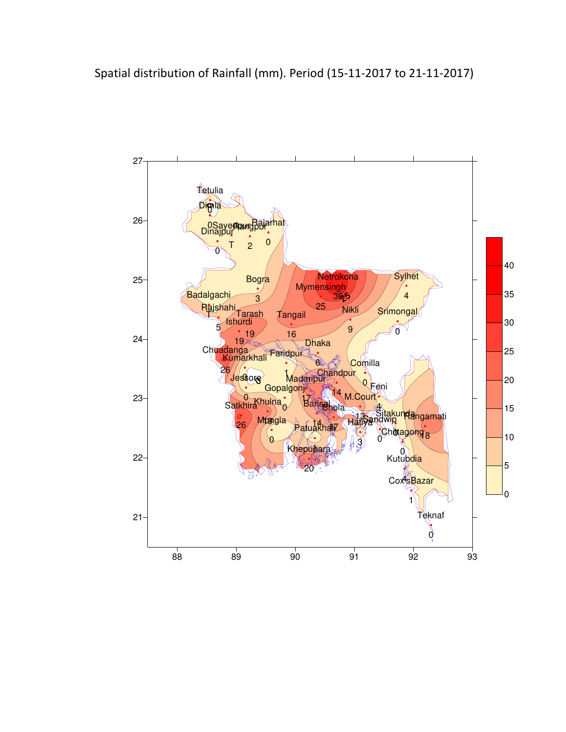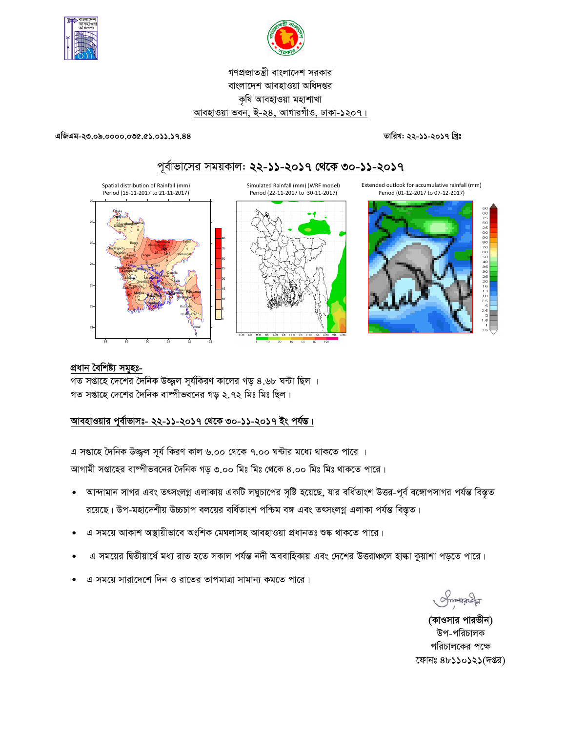



# গণপ্রজাতন্ত্রী বাংলাদেশ সরকার বাংলাদেশ আবহাওয়া অধিদপ্তর কৃষি আবহাওয়া মহাশাখা আবহাওয়া ভবন, ই-২৪, আগারগাঁও, ঢাকা-১২০৭।

#### এজিএম-২৩.০৯.০০০০.০৩৫.৫১.০১১.১৭.৪৪

তারিখ: ২২-১১-২০১৭ খ্রিঃ





## প্ৰধান বৈশিষ্ট্য সমূহঃ-

গত সপ্তাহে দেশের দৈনিক উজ্জ্বল সূর্যকিরণ কালের গড় ৪.৬৮ ঘন্টা ছিল । গত সপ্তাহে দেশের দৈনিক বাষ্পীভবনের গড় ২.৭২ মিঃ মিঃ ছিল।

### আবহাওয়ার পূর্বাভাসঃ- ২২-১১-২০১৭ থেকে ৩০-১১-২০১৭ ইং পর্যন্ত।

এ সপ্তাহে দৈনিক উজ্জ্বল সূর্য কিরণ কাল ৬.০০ থেকে ৭.০০ ঘন্টার মধ্যে থাকতে পারে । আগামী সপ্তাহের বাষ্পীভবনের দৈনিক গড় ৩.০০ মিঃ মিঃ থেকে ৪.০০ মিঃ মিঃ থাকতে পারে।

- আন্দামান সাগর এবং তৎসংলগ্ন এলাকায় একটি লঘুচাপের সৃষ্টি হয়েছে, যার বর্ধিতাংশ উত্তর-পূর্ব বঙ্গোপসাগর পর্যন্ত বিস্তৃত  $\bullet$ রয়েছে। উপ-মহাদেশীয় উচ্চচাপ বলয়ের বর্ধিতাংশ পশ্চিম বঙ্গ এবং তৎসংলগ্ন এলাকা পর্যন্ত বিস্তৃত।
- এ সময়ে আকাশ অস্থায়ীভাবে অংশিক মেঘলাসহ আবহাওয়া প্রধানতঃ শুষ্ক থাকতে পারে।
- এ সময়ের দ্বিতীয়ার্ধে মধ্য রাত হতে সকাল পর্যন্ত নদী অববাহিকায় এবং দেশের উত্তরাঞ্চলে হাল্কা কুয়াশা পড়তে পারে।
- এ সময়ে সারাদেশে দিন ও রাতের তাপমাত্রা সামান্য কমতে পারে।

Smangel

(কাওসার পারভীন) উপ-পরিচালক পরিচালকের পক্ষে ফোনঃ ৪৮১১০১২১(দপ্তর)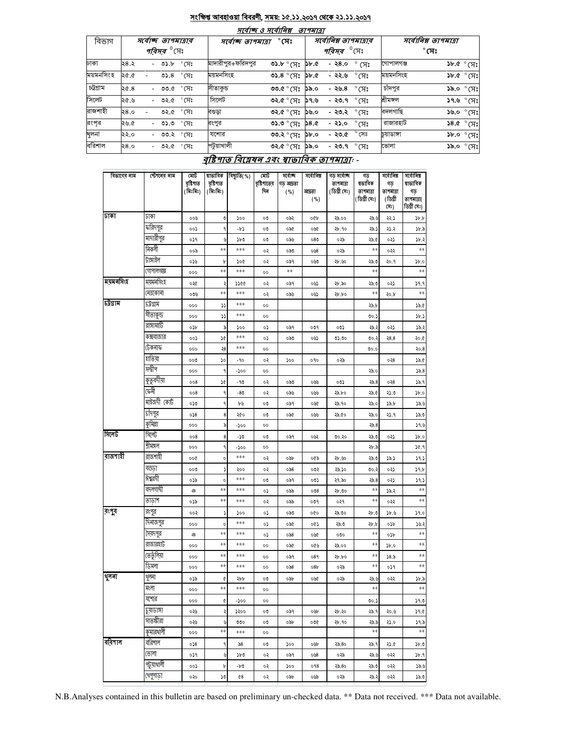#### <u>সংক্ষিপ্ত আবহাওয়া বিবরণী, সময়: ১৫.১১.২০১৭ থেকে ২১.১১.২০১৭</u>  $\overline{A}$

- - -

|           |      |                               |                |                                    | সংবাল্য ও সংবাালপ্প | ונומדוש     |                               |                        |                      |              |                                                                   |
|-----------|------|-------------------------------|----------------|------------------------------------|---------------------|-------------|-------------------------------|------------------------|----------------------|--------------|-------------------------------------------------------------------|
| বিভাগ     |      | স্বোচ্ছ তাপমাত্ৰাৰ            |                | $^\circ$ সেঃ<br>সৰ্বোচ্ছ তাপমাত্ৰা |                     |             | সর্বোনিম্ন তাপমাত্রার         |                        | সর্বোনিম্ন তাপমাত্রা |              |                                                                   |
|           |      | <i>পরিসর <sup>৩</sup></i> সেঃ |                |                                    |                     |             | <i>পরিসর <sup>৩</sup></i> সেঃ |                        |                      | $^\circ$ সেঃ |                                                                   |
| ঢাকা      | 28.3 | $-$ ৩১.৮ $\degree$ সেঃ        |                | মাদারীপুর+ফরিদপুর                  | ৩১.৮ ° সেঃ          | 3b.6        | - ২৪.০                        | $\degree$ (X $\degree$ | গোপালগঞ্জ            |              | $\mathcal{F}^{\circ}$ $\mathcal{F}^{\circ}$ $\mathcal{F}^{\circ}$ |
| ময়মনসিংহ | ২৫.৫ | ৩১. $8$                       | $^{\circ}$ (সঃ | ময়মনসিংহ                          | ৩১.৪ $^{\circ}$ (সঃ | ১৮.৫        | - ২২.৬                        | $^\circ$ সেঃ           | ময়মনসিংহ            |              | $SP^{\circ}$ $\mathcal{M}$                                        |
| চট্টগ্ৰাম | 20.8 | - ৩৩.৫ $\degree$ সেঃ          |                | সীতাকুড                            | ৩৩.৫ ° সেঃ          | ১৯.০        | - ২৬.৪                        | $\degree$ (সঃ          | চাঁদপুর              |              | ১৯.০ $^\circ$ মেঃ                                                 |
| সিলেট     | ২৫.৬ | - ৩২.৫ °CI:                   |                | সিলেট                              | ৩২.৫ ° সেঃ          | ১৭.৬        | - ২৩.৭                        | ੰ $\kappa$ ੇ           | শ্ৰীমঙ্গল            |              | ১৭.৬ ° সেঃ                                                        |
| রাজশাহী   | 58.0 | ৩২.৫ ° সেঃ                    |                | বণ্ডডা                             | ৩২.৫ ° সেঃ          | ১৬.০        | - ২৩.২                        | $^\circ$ (ਸਃ           | বদলগাছি              |              | $\mathcal{S}^{\infty}$ ০.৶১                                       |
| রংপর      | ২৬.৫ | - ৩১.৩                        | $^\circ$ সেঃ   | রংপুর                              | ৩১.৩ ° সেঃ          | <b>58.0</b> | $-25.0$                       | $\degree$ CF)          | রাজারহাট             |              | $$8.6^\circ$$ ርፕঃ                                                 |
| খুলনা     | ২২.০ | - ৩৩.২ °C সিঃ                 |                | যশোর                               | ৩৩.২ ° সেঃ          | $o$ . d $d$ | - ২৩.৫                        | $^{\circ}$ সেঃ         | চয়াডাঙ্গা           |              | $~3b$ .0 $~\circ$ (H:                                             |
| বরিশাল    | 58.0 | - ৩২.৫ °C সঃ                  |                | পটুয়াখালী                         | ৩২.৫ ° সেঃ          | ১৯.০        | - ২৩.৭ $\degree$ সেঃ          |                        | ভোলা                 |              | ১৯.০ $^\circ$ সেঃ                                                 |

#### <u>বৃষ্টিপাত বিশ্লেষন এবং স্বাভাবিক তাপমাত্রা</u>: -

| বিভাগের নাম | স্টেশনের নাম | মোট<br>বৃষ্টিপাত<br>(মিঃমিঃ) | ষাভাবিক<br>বৃষ্টিপাত<br>(মিঃমিঃ) | বিছ্যুতি(%) | মোট<br>বৃষ্টিশাতের<br>দিন | সৰ্বোচ্ছ<br>গড আদ্রতা<br>( %) | সৰ্বোনিম্ন<br>আদ্ৰতা<br>( %) | গড সৰ্বোচ্ছ<br>তাপমাত্রা<br>(ডিগ্ৰী সেঃ) | গড<br>ষভাবিক<br>তাপমাত্রা<br>(ডিগ্ৰী সেঃ) | সৰ্বোনিম্ন<br>গড<br>তাপমাত্রা<br>(ডিগ্ৰী | সৰ্বোনিম্ন<br>ষাভাবিক<br>গড়<br>তাপমাত্রা( |
|-------------|--------------|------------------------------|----------------------------------|-------------|---------------------------|-------------------------------|------------------------------|------------------------------------------|-------------------------------------------|------------------------------------------|--------------------------------------------|
| ঢাকা        |              |                              |                                  |             |                           |                               |                              |                                          |                                           | (সঃ)                                     | ডিগ্ৰী সেঃ)                                |
|             | ঢাকা         | ००७                          | O                                | 500         | ೲ                         | ০৯২                           | oQp                          | ২৯.০০                                    | ২৯.৬                                      | ২২.১                                     | $\delta$ .                                 |
|             | ফরিদপুর      | ००১                          | ٩                                | -b)         | ೲ                         | ০৯৫                           | ०७৫                          | ২৮.৭০                                    | ২৯.১                                      | ২১.২                                     | 5b.5                                       |
|             | মাদারীপুর    | ०১१                          | ৬                                | ১৮৩         | ೲ                         | ০৯৬                           | 080                          | ০২৯                                      | ২৯.৫                                      | ০২১                                      | Sb.:                                       |
|             | নিকলী        | ००৯                          | $\ast\ast$                       | ***         | ०२                        | ಂನಿರಿ                         | ০৬8                          | ০২৯                                      | $**$                                      | ०२२                                      | $***$                                      |
|             | টাঙ্গাইল     | ০১৬                          | b                                | ১০৫         | ०२                        | ০৯৭                           | ০৬৩                          | ২৮.৬০                                    | ২৯.৩                                      | २०.१                                     | $\mathcal{V}$ .0                           |
|             | গোপালগজ্ঞ    | 000                          | $\ast\ast$                       | ***         | 00                        | **                            |                              |                                          | $**$                                      |                                          | $***$                                      |
| ময়মনসিংহ   | ময়মনসিংহ    | ०२৫                          | ٥                                | 2200        | ०२                        | ০৯৭                           | ০৬১                          | ২৮.৯০                                    | ২৯.৩                                      | ০২১                                      | 39.9                                       |
|             | নেত্ৰকোনা    | ০৩৬                          | **                               | ***         | ०२                        | ০৯৬                           | ০৬১                          | ২৮.৮০                                    | $**$                                      | ২০.৮                                     | $**$                                       |
| চউগ্ৰাম     | ঢট্ৰগ্ৰাম    | 000                          | دد                               | ***         | $^{\circ}$                |                               |                              |                                          | ২৯.৮                                      |                                          | ১৯.৫                                       |
|             | সীতাকুন্ড    | 000                          | دد                               | ***         | 00                        |                               |                              |                                          | ৩০.১                                      |                                          | Sb.)                                       |
|             | রাঙ্গামাটি   | ০১৮                          | ৯                                | 500         | ٥,                        | ০৯৭                           | ০৩৭                          | ০৩১                                      | ২৯.২                                      | ০২১                                      | 35.3                                       |
|             | কক্সবাজার    | ००১                          | se                               | ***         | ٥,                        | ಂನಿರಿ                         | ০৬১                          | 05.00                                    | 00.3                                      | 28.8                                     | ২০.৫                                       |
|             | টেকনাফ       | 000                          | 58                               | ***         | $^{\circ}$                |                               |                              |                                          | 0.00                                      |                                          | २०.8                                       |
|             | হাতিয়া      | ೲ                            | ১০                               | -90         | ०२                        | ১০০                           | 090                          | ০২৯                                      |                                           | ०२8                                      | 38.0                                       |
|             | সন্দ্বীপ     | 000                          | ٩                                | -200        | 00                        |                               |                              |                                          | ২৯.০                                      |                                          | 35.8                                       |
|             | কুতুবদীয়া   | 008                          | 7Ç                               | -90         | ०२                        | ಂನಿರಿ                         | ০৬৬                          | ০৩১                                      | 25.8                                      | ०२8                                      | 32.9                                       |
|             | কেৰী         | 008                          | ٩                                | -80         | ०२                        | ০৯৬                           | ০৬৬                          | ২৯.৮০                                    | ২৯.৫                                      | ২১.৩                                     | $\delta$ .0                                |
|             | মাইজদী কোর্ট | ০১৩                          | ٩                                | ৮৬          | ೲ                         | ০৯৭                           | ०७৫                          | ২৯.৭০                                    | ২৯.০                                      | 38.5                                     | 38.5                                       |
|             | চাঁদপুর      | 0.58                         | 8                                | ২৫০         | ೲ                         | ০৯৫                           | ০৬৬                          | ২৯.৫০                                    | ২৯.০                                      | ২১.৭                                     | 38.3                                       |
|             | কুমিল্লা     | 000                          | ৯                                | -১০০        | 00                        |                               |                              |                                          | 25.8                                      |                                          | 39.6                                       |
| সিলেট       | সিলেট        | 008                          | 8                                | -১৩         | ೲ                         | ০৯৭                           | ০৬২                          | 00.30                                    | ২৯.৩                                      | ০২১                                      | Sb.o                                       |
|             | শ্ৰীমঙ্গল    | 000                          | ٩                                | -200        | $^{\circ}$                |                               |                              |                                          | ২৮.৯                                      |                                          | 30.9                                       |
| রাজশাহী     | রাজশাহী      | ००৫                          | $\mathsf{o}\xspace$              | ***         | ०२                        | ০৯৮                           | ০৫৯                          | ২৮.৬০                                    | ২৯.৩                                      | د دد                                     | 39.3                                       |
|             | বগুড়া       | ೲ                            | ډ                                | ২০০         | ०२                        | $\circ$ ನಿ8                   | ০৩২                          | ২৯.১০                                    | ৩০.২                                      | ০২১                                      | 39.b                                       |
|             | ঈশ্বরদী      | ০১৯                          |                                  | ***         | ೲ                         |                               |                              |                                          |                                           | ০২১                                      |                                            |
|             | বদলগাঘী      | LGB                          | $\circ$<br>$**$                  | ***         |                           | ০৯৭                           | ০৩১                          | ২৭.৯০                                    | 25.8<br>$**$                              |                                          | 39.3<br>$**$                               |
|             | তাডাশ        | ০১৯                          | $\ast\ast$                       | ***         | ०১                        | ০৯৯                           | 008                          | ২৮.৩০                                    | $\ast\ast$                                | ১৯.২                                     | $**$                                       |
| রংপূব       |              |                              |                                  |             | ०२                        | ০৯৯                           | ०७१                          | ०२१                                      |                                           | ०२२                                      |                                            |
|             | রংপুর        | ००२                          | ډ                                | ১০০         | ०১                        | ಂನಿರಿ                         | oQo                          | ২৯.৩০                                    | ২৮.৩                                      | ১৮.৬                                     | 59.0                                       |
|             | দিনাজপুর     | 000                          | 0                                | ***         | ٥,                        | ০৯৫                           | ০৫১                          | ২৯.৩                                     | ২৮.৮                                      | ০১৮                                      | 30.3                                       |
|             | সৈয়দপুর     | G                            | $**$                             | ***         | ٥,                        | ం ఏరి                         | ০৬৫                          | ೲ                                        | $***$                                     | ০১৮                                      | $***$                                      |
|             | রাজারহাট     | 000                          | $**$                             | ***         | $^{\circ}$                | ০৯৫                           | ০৫৬                          | ২৯.০০                                    | $**$                                      | Sb.0                                     | **                                         |
|             | তেতুঁলিয়া   | 000                          | $**$                             | ***         | $^{\circ}$                | ০৯৭                           | 089                          | ২৮.৮০                                    | $**$                                      | 38.5                                     | $**$                                       |
|             | ডিমলা        | 000                          | **                               | ***         | 00                        | 058                           | 08b                          | ০২৯                                      | $**$                                      | ०১৭                                      | $***$                                      |
| থুলনা       | থুলনা        | ০১৯                          | ¢                                | ২৮৮         | ೲ                         | ০৯৮                           | ०७৫                          | ০২৯                                      | ২৯.৬                                      | ০২২                                      | ১৮.৯                                       |
|             | মংলা         | 000                          | $\ast\ast$                       | ***         | 00                        |                               |                              |                                          | $\ast\ast$                                |                                          | $\ast\ast$                                 |
|             | যশোর         | 000                          | ¢                                | -200        | 00                        |                               |                              |                                          | ৩০.১                                      |                                          | 59.0                                       |
|             | ज्ञाउना      | ০২৬                          | २                                | ১২০০        | ೲ                         | ০৯৭                           | ০৬৮                          | ২৮.২০                                    | ২৯.৭                                      | ২০.৬                                     | 29.0                                       |
|             | সাতক্ষীরা    | ০২৬                          | ৬                                | ৩৩০         | ೲ                         | ০৯৮                           | ০৩৫                          | ২৮.৭০                                    | ২৯.৯                                      | ২১.০                                     | ১৭.৯                                       |
|             | কুমারথালী    | 000                          | $\ast\ast$                       | ***         | 00                        |                               |                              |                                          | $\ast\ast$                                |                                          | $\ast\ast$                                 |
| বরিশাল      | বরিশাল       | 058                          | ٩                                | $\delta$    | ೲ                         | ১০০                           | ০৬৮                          | ২৯.৪০                                    | ২৯.৭                                      | ২১.৫                                     | ১৮.৩                                       |
|             | ভোলা         | ०১१                          | ৬                                | ১৮৩         | ०२                        | ०৯१                           | ০৬8                          | ০২৯                                      | ২৯.৬                                      | ०२२                                      | ১৮.৭                                       |
|             | পটুয়াথালী   | ००১                          | b                                | -b0         | ०२                        | ১০০                           | 098                          | ২৯.৪০                                    | ২৯.৩                                      | ०२२                                      | ১৯.৬                                       |
|             | থেপুপাড়া    | ०२०                          | ১৩                               | 68          | ०२                        | obb                           | ০৬৯                          | ০২৯                                      | ২৯.২                                      | ०२२                                      | 35.0                                       |

N.B.Analyses contained in this bulletin are based on preliminary un-checked data. \*\* Data not received. \*\*\* Data not available.